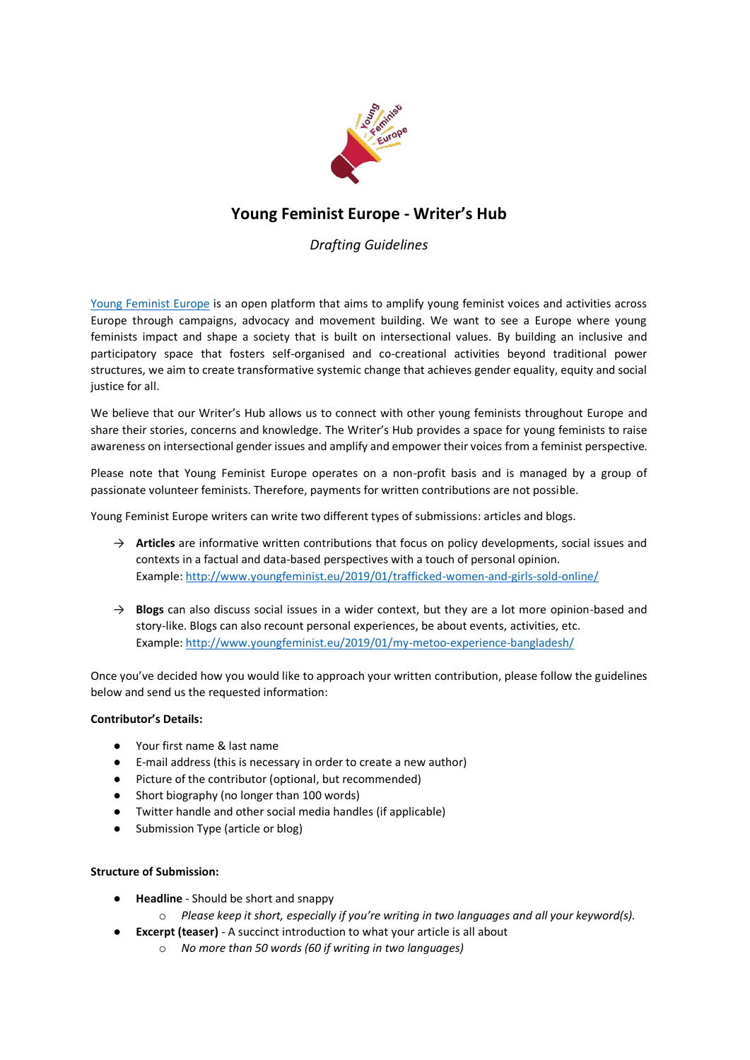

# **Young Feminist Europe - Writer's Hub**

## *Drafting Guidelines*

[Young Feminist Europe](http://www.youngfeminist.eu/) is an open platform that aims to amplify young feminist voices and activities across Europe through campaigns, advocacy and movement building. We want to see a Europe where young feminists impact and shape a society that is built on intersectional values. By building an inclusive and participatory space that fosters self-organised and co-creational activities beyond traditional power structures, we aim to create transformative systemic change that achieves gender equality, equity and social justice for all.

We believe that our Writer's Hub allows us to connect with other young feminists throughout Europe and share their stories, concerns and knowledge. The Writer's Hub provides a space for young feminists to raise awareness on intersectional gender issues and amplify and empower their voices from a feminist perspective.

Please note that Young Feminist Europe operates on a non-profit basis and is managed by a group of passionate volunteer feminists. Therefore, payments for written contributions are not possible.

Young Feminist Europe writers can write two different types of submissions: articles and blogs.

- → **Articles** are informative written contributions that focus on policy developments, social issues and contexts in a factual and data-based perspectives with a touch of personal opinion. Example[: http://www.youngfeminist.eu/2019/01/trafficked-women-and-girls-sold-online/](http://www.youngfeminist.eu/2019/01/trafficked-women-and-girls-sold-online/)
- → **Blogs** can also discuss social issues in a wider context, but they are a lot more opinion-based and story-like. Blogs can also recount personal experiences, be about events, activities, etc. Example[: http://www.youngfeminist.eu/2019/01/my-metoo-experience-bangladesh/](http://www.youngfeminist.eu/2019/01/my-metoo-experience-bangladesh/)

Once you've decided how you would like to approach your written contribution, please follow the guidelines below and send us the requested information:

### **Contributor's Details:**

- Your first name & last name
- E-mail address (this is necessary in order to create a new author)
- Picture of the contributor (optional, but recommended)
- Short biography (no longer than 100 words)
- Twitter handle and other social media handles (if applicable)
- Submission Type (article or blog)

### **Structure of Submission:**

- **Headline**  Should be short and snappy
	- o *Please keep it short, especially if you're writing in two languages and all your keyword(s).*
- **Excerpt (teaser)**  A succinct introduction to what your article is all about
	- o *No more than 50 words (60 if writing in two languages)*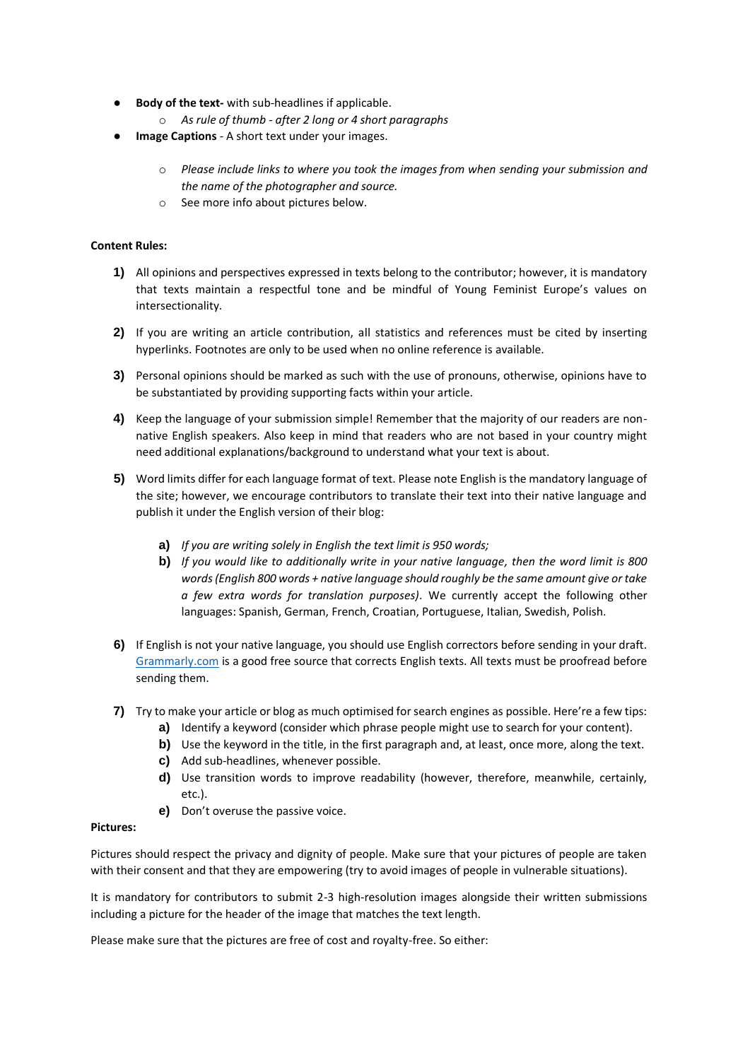- **Body of the text-** with sub-headlines if applicable.
	- o *As rule of thumb - after 2 long or 4 short paragraphs*
- **Image Captions** A short text under your images.
	- o *Please include links to where you took the images from when sending your submission and the name of the photographer and source.*
	- o See more info about pictures below.

### **Content Rules:**

- **1)** All opinions and perspectives expressed in texts belong to the contributor; however, it is mandatory that texts maintain a respectful tone and be mindful of Young Feminist Europe's values on intersectionality.
- **2)** If you are writing an article contribution, all statistics and references must be cited by inserting hyperlinks. Footnotes are only to be used when no online reference is available.
- **3)** Personal opinions should be marked as such with the use of pronouns, otherwise, opinions have to be substantiated by providing supporting facts within your article.
- **4)** Keep the language of your submission simple! Remember that the majority of our readers are nonnative English speakers. Also keep in mind that readers who are not based in your country might need additional explanations/background to understand what your text is about.
- **5)** Word limits differ for each language format of text. Please note English is the mandatory language of the site; however, we encourage contributors to translate their text into their native language and publish it under the English version of their blog:
	- **a)** *If you are writing solely in English the text limit is 950 words;*
	- **b)** *If you would like to additionally write in your native language, then the word limit is 800 words (English 800 words + native language should roughly be the same amount give or take a few extra words for translation purposes)*. We currently accept the following other languages: Spanish, German, French, Croatian, Portuguese, Italian, Swedish, Polish.
- **6)** If English is not your native language, you should use English correctors before sending in your draft. [Grammarly.com](https://www.grammarly.com/) is a good free source that corrects English texts. All texts must be proofread before sending them.
- **7)** Try to make your article or blog as much optimised for search engines as possible. Here're a few tips:
	- **a)** Identify a keyword (consider which phrase people might use to search for your content).
	- **b)** Use the keyword in the title, in the first paragraph and, at least, once more, along the text.
	- **c)** Add sub-headlines, whenever possible.
	- **d)** Use transition words to improve readability (however, therefore, meanwhile, certainly, etc.).
	- **e)** Don't overuse the passive voice.

### **Pictures:**

Pictures should respect the privacy and dignity of people. Make sure that your pictures of people are taken with their consent and that they are empowering (try to avoid images of people in vulnerable situations).

It is mandatory for contributors to submit 2-3 high-resolution images alongside their written submissions including a picture for the header of the image that matches the text length.

Please make sure that the pictures are free of cost and royalty-free. So either: